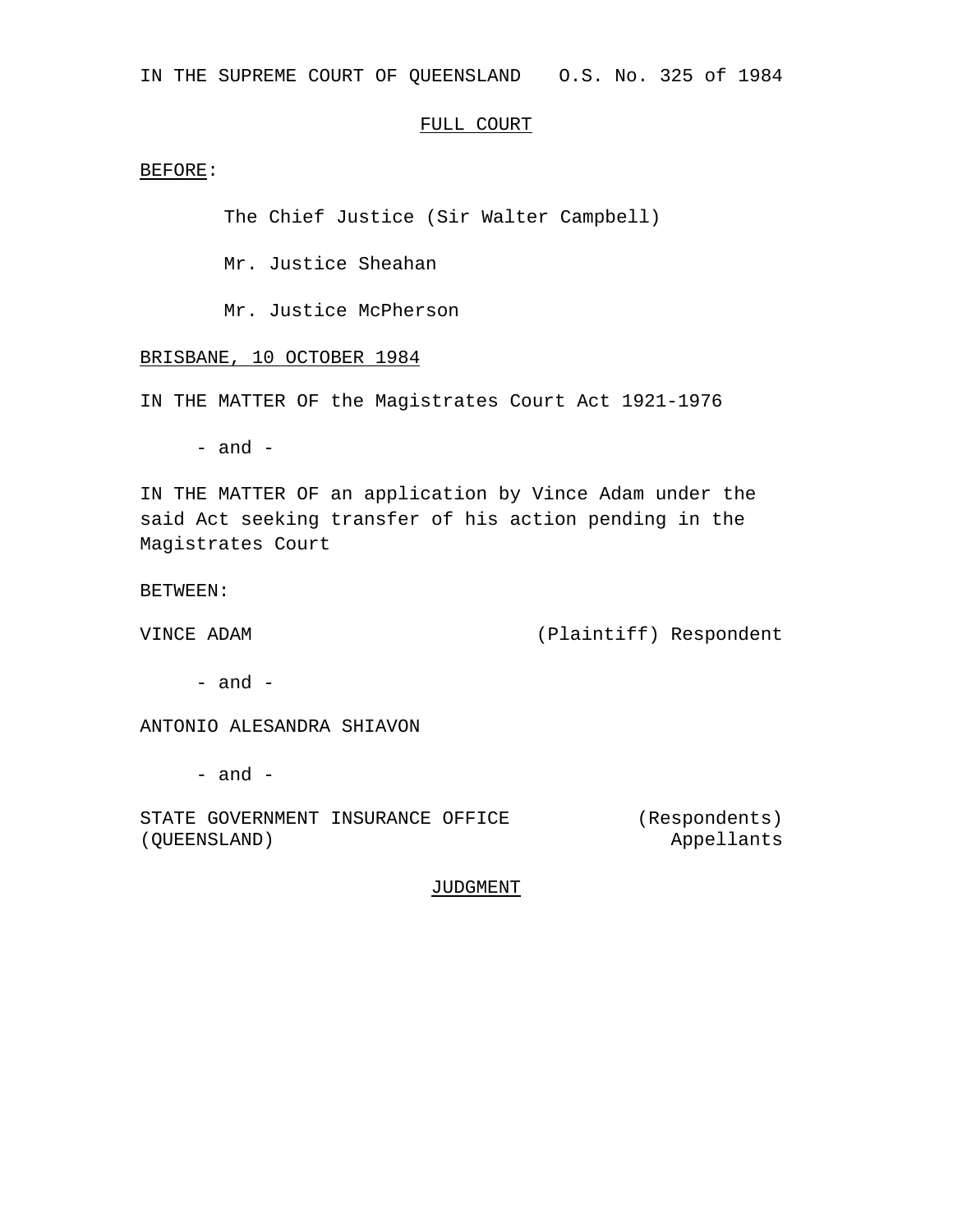IN THE SUPREME COURT OF QUEENSLAND O.S. No. 325 of 1984

## FULL COURT

BEFORE:

The Chief Justice (Sir Walter Campbell)

Mr. Justice Sheahan

Mr. Justice McPherson

BRISBANE, 10 OCTOBER 1984

IN THE MATTER OF the Magistrates Court Act 1921-1976

- and -

IN THE MATTER OF an application by Vince Adam under the said Act seeking transfer of his action pending in the Magistrates Court

BETWEEN:

VINCE ADAM (Plaintiff) Respondent

 $-$  and  $-$ 

ANTONIO ALESANDRA SHIAVON

 $-$  and  $-$ 

STATE GOVERNMENT INSURANCE OFFICE (QUEENSLAND)

(Respondents) Appellants

JUDGMENT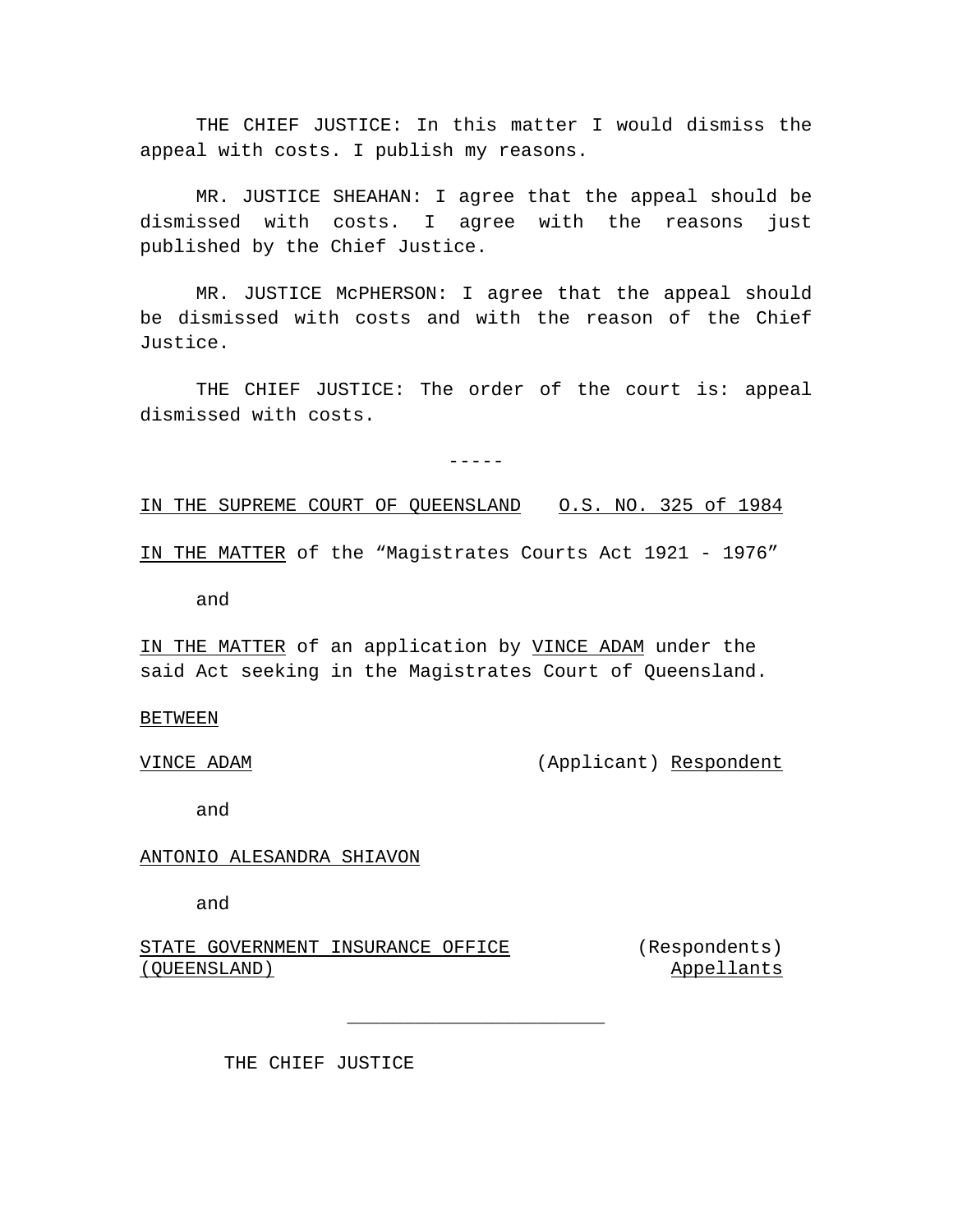THE CHIEF JUSTICE: In this matter I would dismiss the appeal with costs. I publish my reasons.

MR. JUSTICE SHEAHAN: I agree that the appeal should be dismissed with costs. I agree with the reasons just published by the Chief Justice.

MR. JUSTICE McPHERSON: I agree that the appeal should be dismissed with costs and with the reason of the Chief Justice.

THE CHIEF JUSTICE: The order of the court is: appeal dismissed with costs.

 $-----$ 

IN THE SUPREME COURT OF QUEENSLAND O.S. NO. 325 of 1984

IN THE MATTER of the "Magistrates Courts Act 1921 - 1976"

and

IN THE MATTER of an application by VINCE ADAM under the said Act seeking in the Magistrates Court of Queensland.

\_\_\_\_\_\_\_\_\_\_\_\_\_\_\_\_\_\_\_\_\_\_\_

## **BETWEEN**

VINCE ADAM (Applicant) Respondent

and

ANTONIO ALESANDRA SHIAVON

and

STATE GOVERNMENT INSURANCE OFFICE (QUEENSLAND)

(Respondents) Appellants

THE CHIEF JUSTICE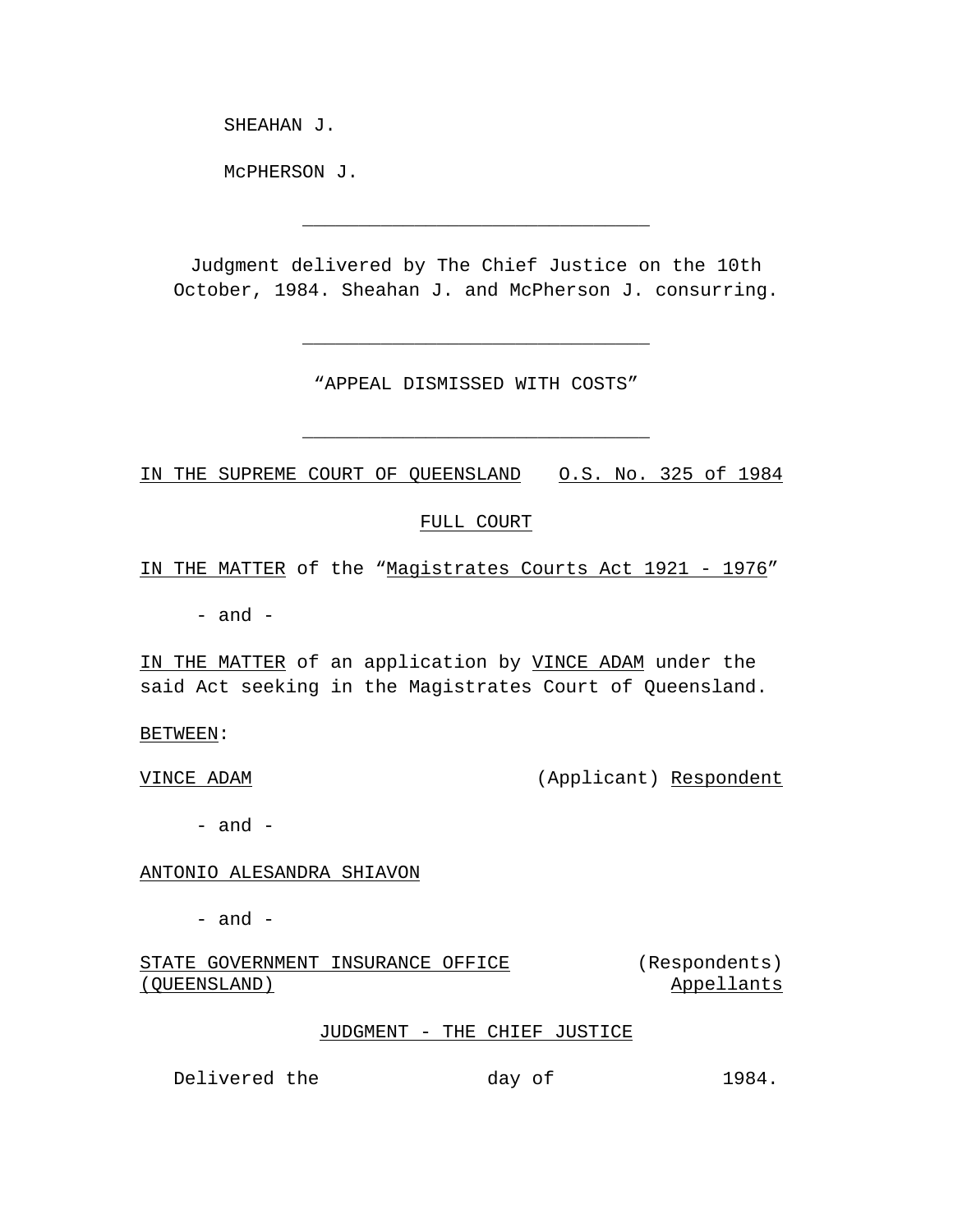SHEAHAN J.

McPHERSON J.

Judgment delivered by The Chief Justice on the 10th October, 1984. Sheahan J. and McPherson J. consurring.

\_\_\_\_\_\_\_\_\_\_\_\_\_\_\_\_\_\_\_\_\_\_\_\_\_\_\_\_\_\_\_

"APPEAL DISMISSED WITH COSTS"

\_\_\_\_\_\_\_\_\_\_\_\_\_\_\_\_\_\_\_\_\_\_\_\_\_\_\_\_\_\_\_

\_\_\_\_\_\_\_\_\_\_\_\_\_\_\_\_\_\_\_\_\_\_\_\_\_\_\_\_\_\_\_

IN THE SUPREME COURT OF QUEENSLAND O.S. No. 325 of 1984

# FULL COURT

IN THE MATTER of the "Magistrates Courts Act 1921 - 1976"

- and -

IN THE MATTER of an application by VINCE ADAM under the said Act seeking in the Magistrates Court of Queensland.

BETWEEN:

VINCE ADAM (Applicant) Respondent

 $-$  and  $-$ 

## ANTONIO ALESANDRA SHIAVON

 $-$  and  $-$ 

STATE GOVERNMENT INSURANCE OFFICE (QUEENSLAND) (Respondents) Appellants

## JUDGMENT - THE CHIEF JUSTICE

Delivered the day of 1984.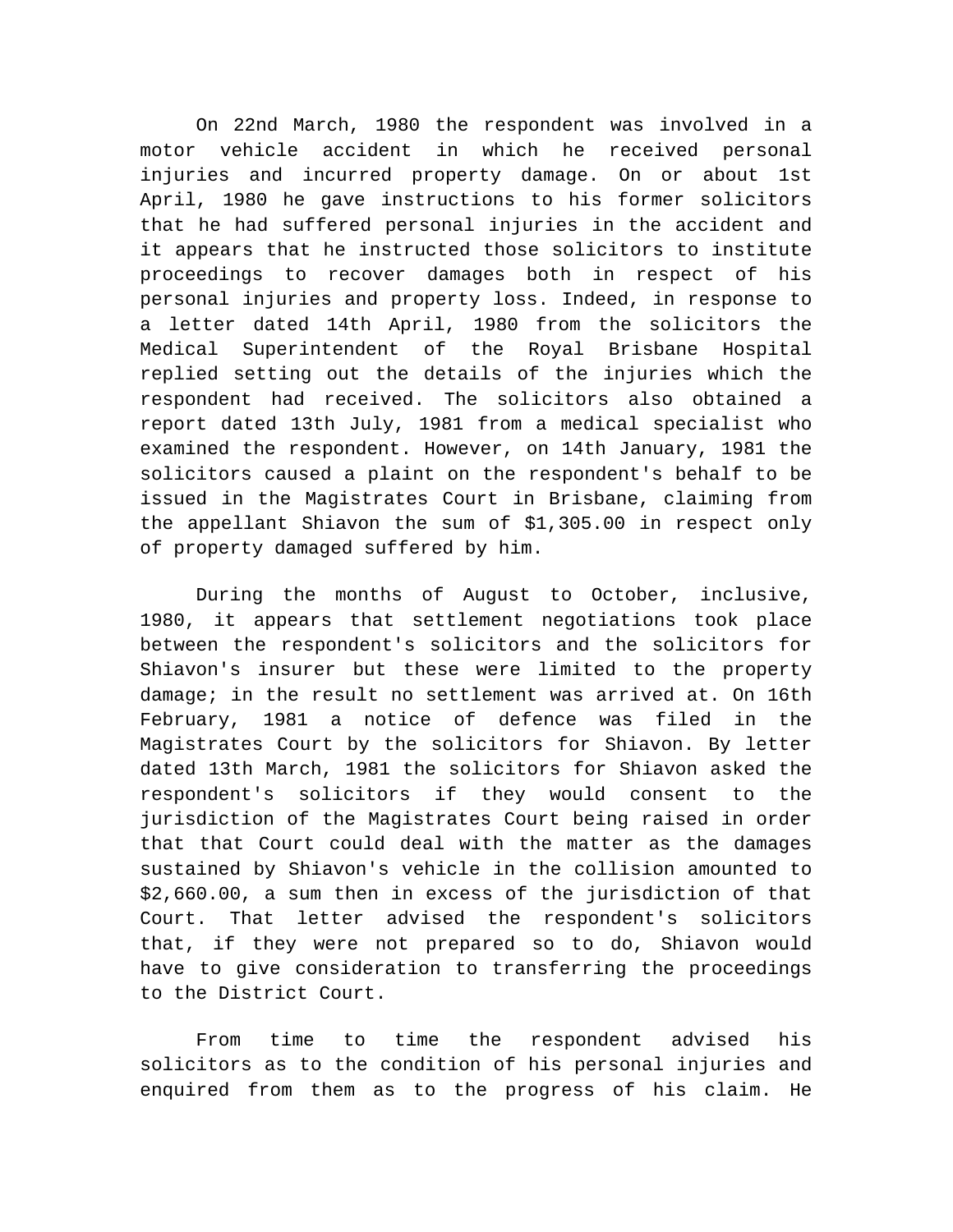On 22nd March, 1980 the respondent was involved in a motor vehicle accident in which he received personal injuries and incurred property damage. On or about 1st April, 1980 he gave instructions to his former solicitors that he had suffered personal injuries in the accident and it appears that he instructed those solicitors to institute proceedings to recover damages both in respect of his personal injuries and property loss. Indeed, in response to a letter dated 14th April, 1980 from the solicitors the Medical Superintendent of the Royal Brisbane Hospital replied setting out the details of the injuries which the respondent had received. The solicitors also obtained a report dated 13th July, 1981 from a medical specialist who examined the respondent. However, on 14th January, 1981 the solicitors caused a plaint on the respondent's behalf to be issued in the Magistrates Court in Brisbane, claiming from the appellant Shiavon the sum of \$1,305.00 in respect only of property damaged suffered by him.

During the months of August to October, inclusive, 1980, it appears that settlement negotiations took place between the respondent's solicitors and the solicitors for Shiavon's insurer but these were limited to the property damage; in the result no settlement was arrived at. On 16th February, 1981 a notice of defence was filed in the Magistrates Court by the solicitors for Shiavon. By letter dated 13th March, 1981 the solicitors for Shiavon asked the respondent's solicitors if they would consent to the jurisdiction of the Magistrates Court being raised in order that that Court could deal with the matter as the damages sustained by Shiavon's vehicle in the collision amounted to \$2,660.00, a sum then in excess of the jurisdiction of that Court. That letter advised the respondent's solicitors that, if they were not prepared so to do, Shiavon would have to give consideration to transferring the proceedings to the District Court.

From time to time the respondent advised his solicitors as to the condition of his personal injuries and enquired from them as to the progress of his claim. He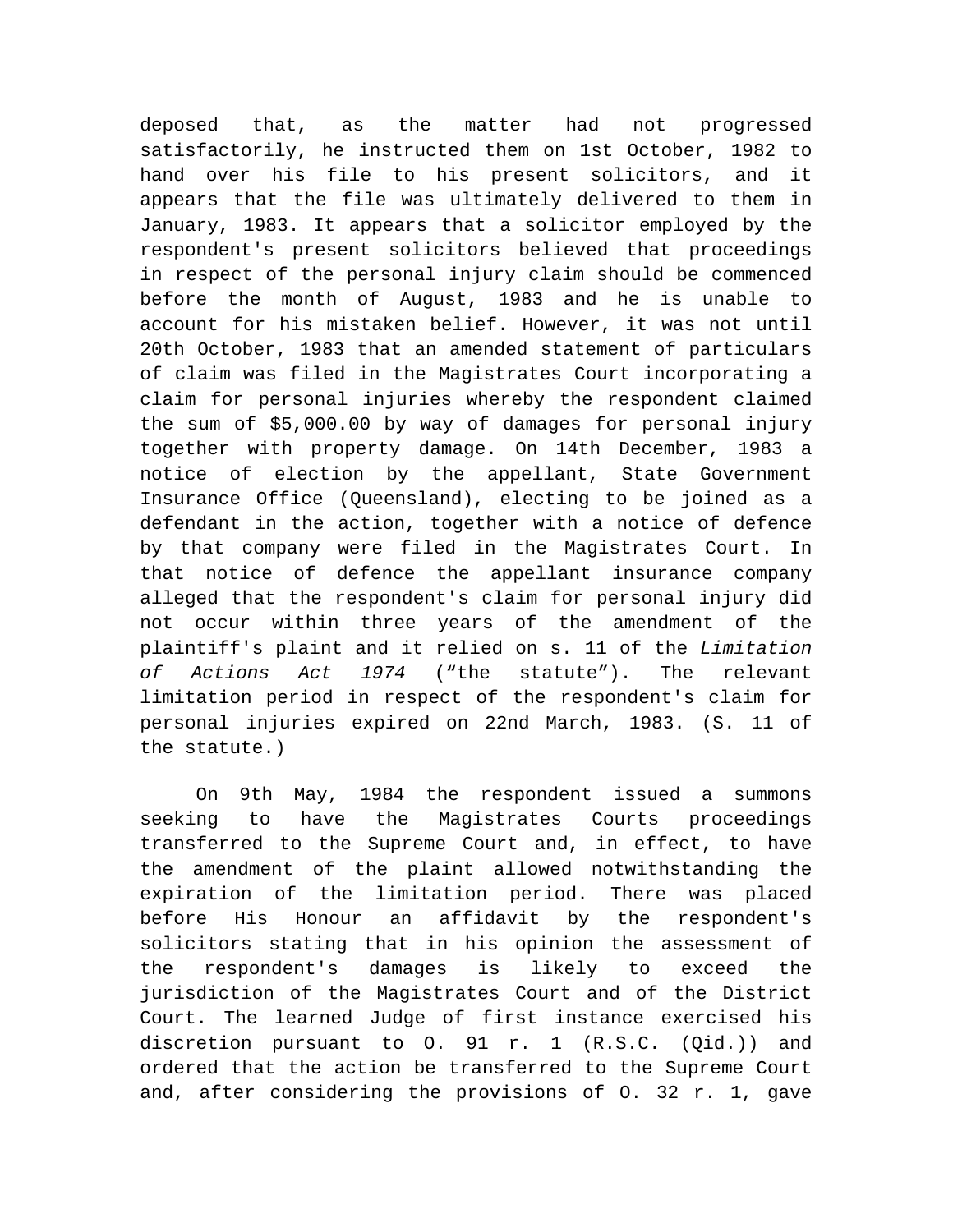deposed that, as the matter had not progressed satisfactorily, he instructed them on 1st October, 1982 to hand over his file to his present solicitors, and it appears that the file was ultimately delivered to them in January, 1983. It appears that a solicitor employed by the respondent's present solicitors believed that proceedings in respect of the personal injury claim should be commenced before the month of August, 1983 and he is unable to account for his mistaken belief. However, it was not until 20th October, 1983 that an amended statement of particulars of claim was filed in the Magistrates Court incorporating a claim for personal injuries whereby the respondent claimed the sum of \$5,000.00 by way of damages for personal injury together with property damage. On 14th December, 1983 a notice of election by the appellant, State Government Insurance Office (Queensland), electing to be joined as a defendant in the action, together with a notice of defence by that company were filed in the Magistrates Court. In that notice of defence the appellant insurance company alleged that the respondent's claim for personal injury did not occur within three years of the amendment of the plaintiff's plaint and it relied on s. 11 of the *Limitation of Actions Act 1974* ("the statute"). The relevant limitation period in respect of the respondent's claim for personal injuries expired on 22nd March, 1983. (S. 11 of the statute.)

On 9th May, 1984 the respondent issued a summons seeking to have the Magistrates Courts proceedings transferred to the Supreme Court and, in effect, to have the amendment of the plaint allowed notwithstanding the expiration of the limitation period. There was placed before His Honour an affidavit by the respondent's solicitors stating that in his opinion the assessment of the respondent's damages is likely to exceed the jurisdiction of the Magistrates Court and of the District Court. The learned Judge of first instance exercised his discretion pursuant to O. 91 r. 1 (R.S.C. (Qid.)) and ordered that the action be transferred to the Supreme Court and, after considering the provisions of O. 32 r. 1, gave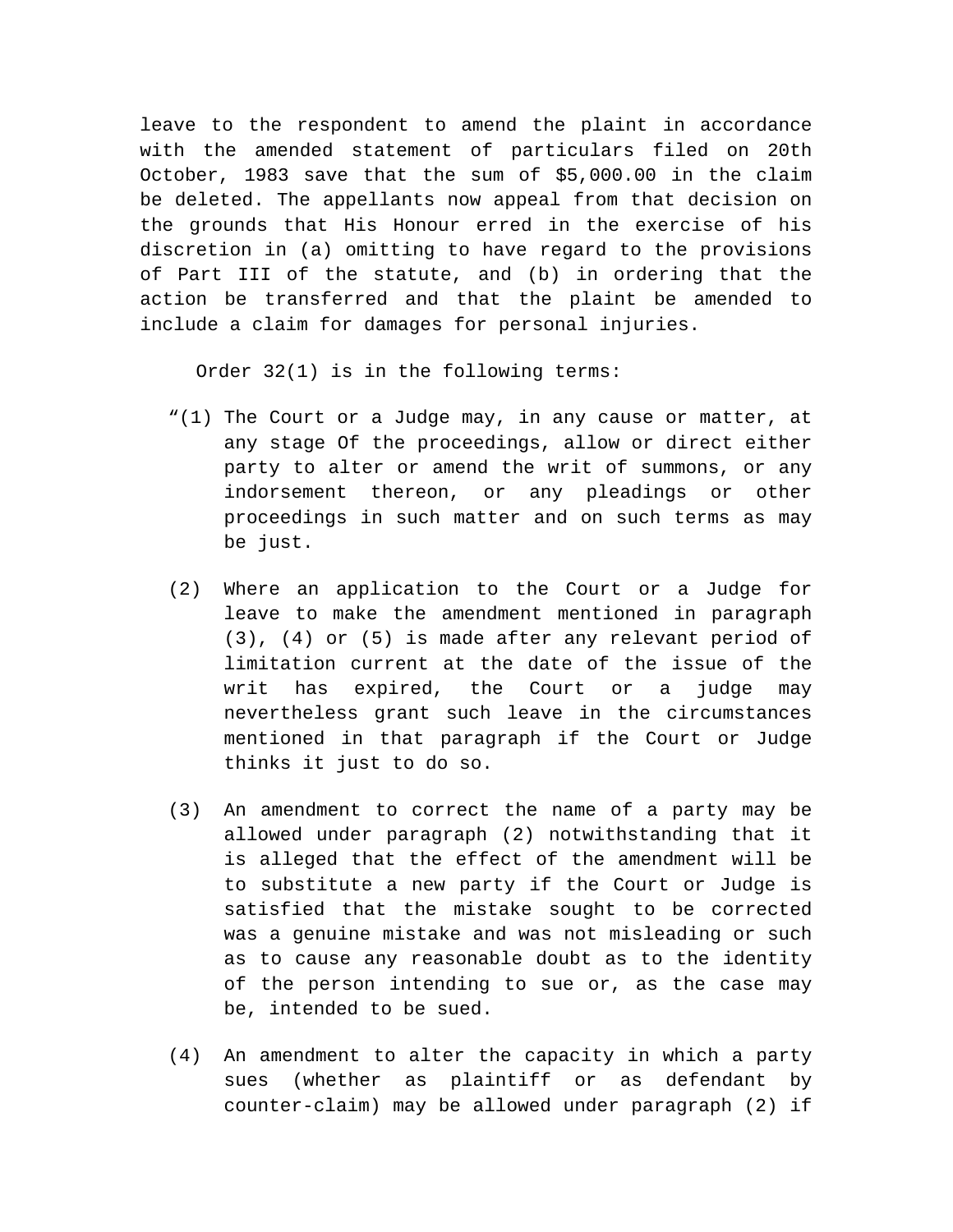leave to the respondent to amend the plaint in accordance with the amended statement of particulars filed on 20th October, 1983 save that the sum of \$5,000.00 in the claim be deleted. The appellants now appeal from that decision on the grounds that His Honour erred in the exercise of his discretion in (a) omitting to have regard to the provisions of Part III of the statute, and (b) in ordering that the action be transferred and that the plaint be amended to include a claim for damages for personal injuries.

Order 32(1) is in the following terms:

- "(1) The Court or a Judge may, in any cause or matter, at any stage Of the proceedings, allow or direct either party to alter or amend the writ of summons, or any indorsement thereon, or any pleadings or other proceedings in such matter and on such terms as may be just.
- (2) Where an application to the Court or a Judge for leave to make the amendment mentioned in paragraph (3), (4) or (5) is made after any relevant period of limitation current at the date of the issue of the writ has expired, the Court or a judge may nevertheless grant such leave in the circumstances mentioned in that paragraph if the Court or Judge thinks it just to do so.
- (3) An amendment to correct the name of a party may be allowed under paragraph (2) notwithstanding that it is alleged that the effect of the amendment will be to substitute a new party if the Court or Judge is satisfied that the mistake sought to be corrected was a genuine mistake and was not misleading or such as to cause any reasonable doubt as to the identity of the person intending to sue or, as the case may be, intended to be sued.
- (4) An amendment to alter the capacity in which a party sues (whether as plaintiff or as defendant by counter-claim) may be allowed under paragraph (2) if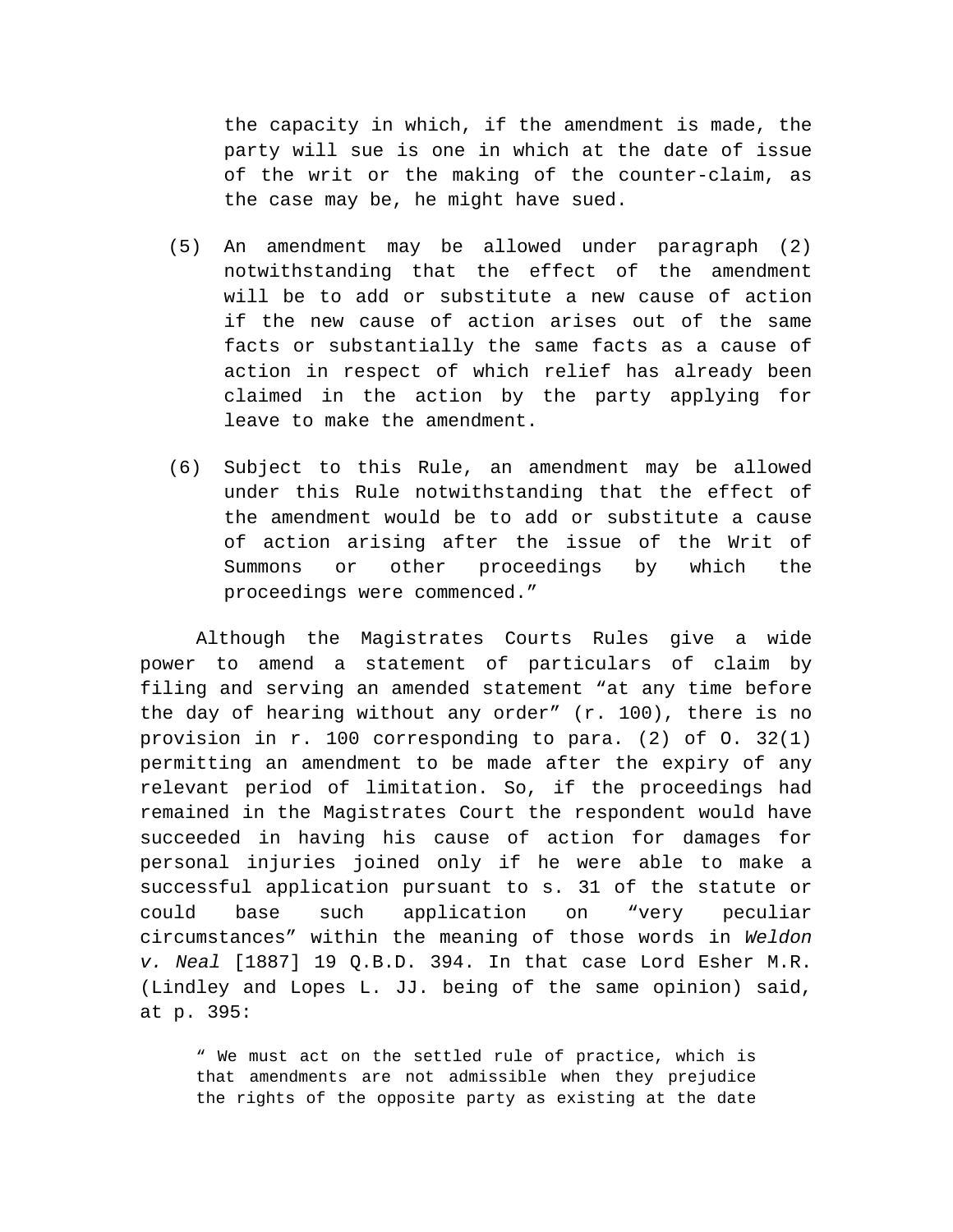the capacity in which, if the amendment is made, the party will sue is one in which at the date of issue of the writ or the making of the counter-claim, as the case may be, he might have sued.

- (5) An amendment may be allowed under paragraph (2) notwithstanding that the effect of the amendment will be to add or substitute a new cause of action if the new cause of action arises out of the same facts or substantially the same facts as a cause of action in respect of which relief has already been claimed in the action by the party applying for leave to make the amendment.
- (6) Subject to this Rule, an amendment may be allowed under this Rule notwithstanding that the effect of the amendment would be to add or substitute a cause of action arising after the issue of the Writ of Summons or other proceedings by which the proceedings were commenced."

Although the Magistrates Courts Rules give a wide power to amend a statement of particulars of claim by filing and serving an amended statement "at any time before the day of hearing without any order" (r. 100), there is no provision in r. 100 corresponding to para. (2) of O. 32(1) permitting an amendment to be made after the expiry of any relevant period of limitation. So, if the proceedings had remained in the Magistrates Court the respondent would have succeeded in having his cause of action for damages for personal injuries joined only if he were able to make a successful application pursuant to s. 31 of the statute or could base such application on "very peculiar circumstances" within the meaning of those words in *Weldon v. Neal* [1887] 19 Q.B.D. 394. In that case Lord Esher M.R. (Lindley and Lopes L. JJ. being of the same opinion) said, at p. 395:

" We must act on the settled rule of practice, which is that amendments are not admissible when they prejudice the rights of the opposite party as existing at the date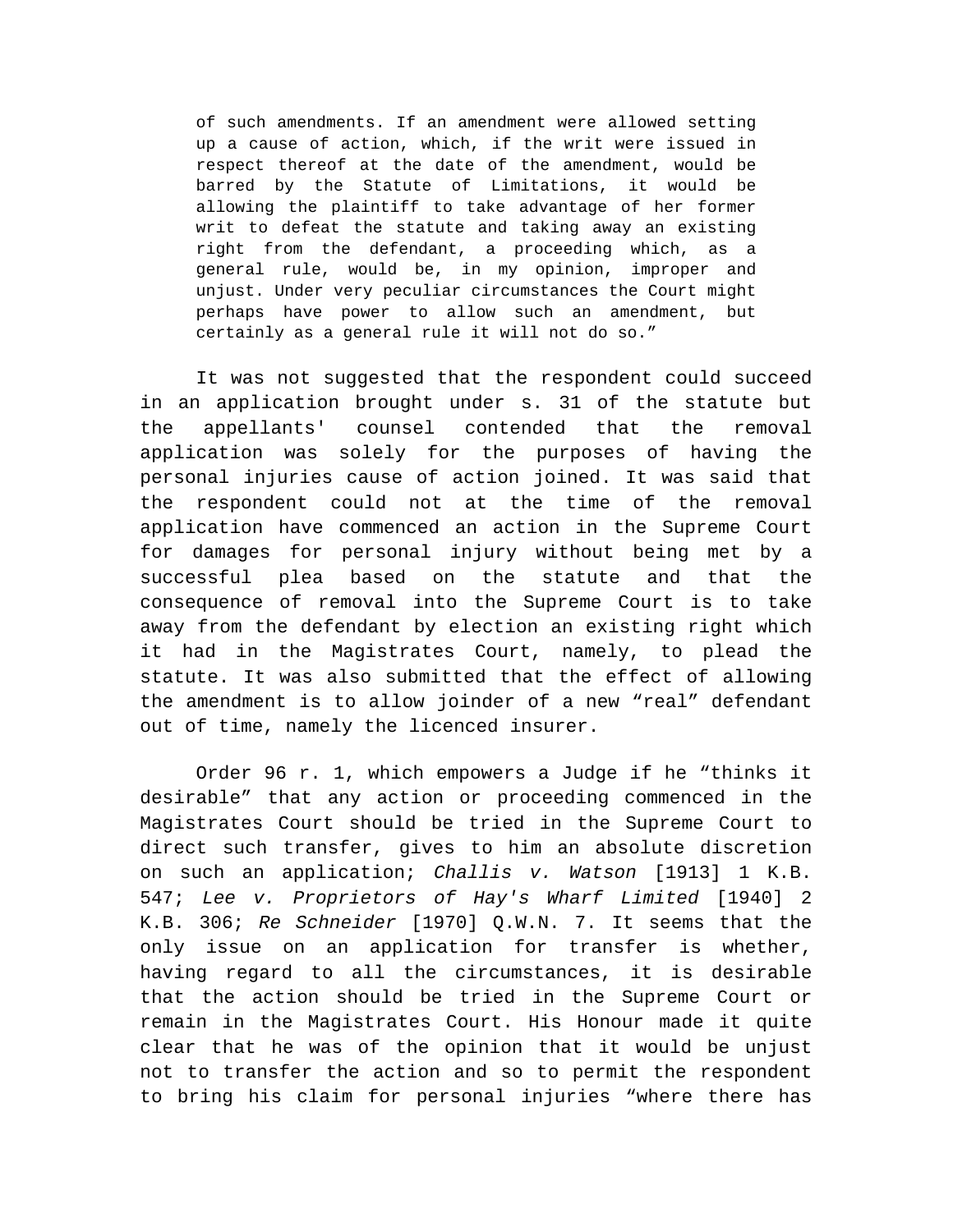of such amendments. If an amendment were allowed setting up a cause of action, which, if the writ were issued in respect thereof at the date of the amendment, would be barred by the Statute of Limitations, it would be allowing the plaintiff to take advantage of her former writ to defeat the statute and taking away an existing right from the defendant, a proceeding which, as a general rule, would be, in my opinion, improper and unjust. Under very peculiar circumstances the Court might perhaps have power to allow such an amendment, but certainly as a general rule it will not do so."

It was not suggested that the respondent could succeed in an application brought under s. 31 of the statute but the appellants' counsel contended that the removal application was solely for the purposes of having the personal injuries cause of action joined. It was said that the respondent could not at the time of the removal application have commenced an action in the Supreme Court for damages for personal injury without being met by a successful plea based on the statute and that the consequence of removal into the Supreme Court is to take away from the defendant by election an existing right which it had in the Magistrates Court, namely, to plead the statute. It was also submitted that the effect of allowing the amendment is to allow joinder of a new "real" defendant out of time, namely the licenced insurer.

Order 96 r. 1, which empowers a Judge if he "thinks it desirable" that any action or proceeding commenced in the Magistrates Court should be tried in the Supreme Court to direct such transfer, gives to him an absolute discretion on such an application; *Challis v. Watson* [1913] 1 K.B. 547; *Lee v. Proprietors of Hay's Wharf Limited* [1940] 2 K.B. 306; *Re Schneider* [1970] Q.W.N. 7. It seems that the only issue on an application for transfer is whether, having regard to all the circumstances, it is desirable that the action should be tried in the Supreme Court or remain in the Magistrates Court. His Honour made it quite clear that he was of the opinion that it would be unjust not to transfer the action and so to permit the respondent to bring his claim for personal injuries "where there has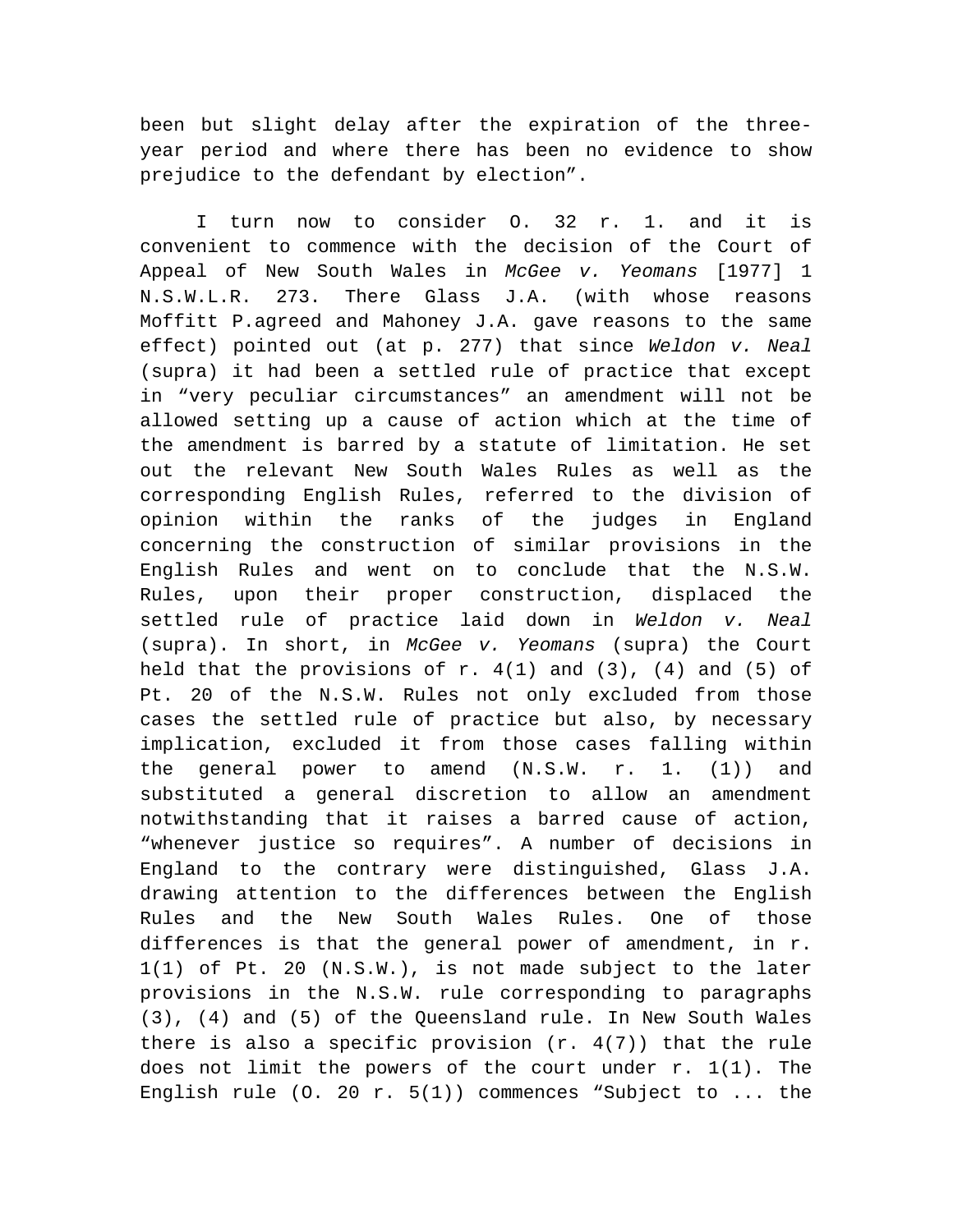been but slight delay after the expiration of the threeyear period and where there has been no evidence to show prejudice to the defendant by election".

I turn now to consider O. 32 r. 1. and it is convenient to commence with the decision of the Court of Appeal of New South Wales in *McGee v. Yeomans* [1977] 1 N.S.W.L.R. 273. There Glass J.A. (with whose reasons Moffitt P.agreed and Mahoney J.A. gave reasons to the same effect) pointed out (at p. 277) that since *Weldon v. Neal* (supra) it had been a settled rule of practice that except in "very peculiar circumstances" an amendment will not be allowed setting up a cause of action which at the time of the amendment is barred by a statute of limitation. He set out the relevant New South Wales Rules as well as the corresponding English Rules, referred to the division of opinion within the ranks of the judges in England concerning the construction of similar provisions in the English Rules and went on to conclude that the N.S.W. Rules, upon their proper construction, displaced the settled rule of practice laid down in *Weldon v. Neal* (supra). In short, in *McGee v. Yeomans* (supra) the Court held that the provisions of r.  $4(1)$  and  $(3)$ ,  $(4)$  and  $(5)$  of Pt. 20 of the N.S.W. Rules not only excluded from those cases the settled rule of practice but also, by necessary implication, excluded it from those cases falling within the general power to amend (N.S.W. r. 1. (1)) and substituted a general discretion to allow an amendment notwithstanding that it raises a barred cause of action, "whenever justice so requires". A number of decisions in England to the contrary were distinguished, Glass J.A. drawing attention to the differences between the English Rules and the New South Wales Rules. One of those differences is that the general power of amendment, in r. 1(1) of Pt. 20 (N.S.W.), is not made subject to the later provisions in the N.S.W. rule corresponding to paragraphs (3), (4) and (5) of the Queensland rule. In New South Wales there is also a specific provision  $(r. 4(7))$  that the rule does not limit the powers of the court under r. 1(1). The English rule  $(0. 20 r. 5(1))$  commences "Subject to ... the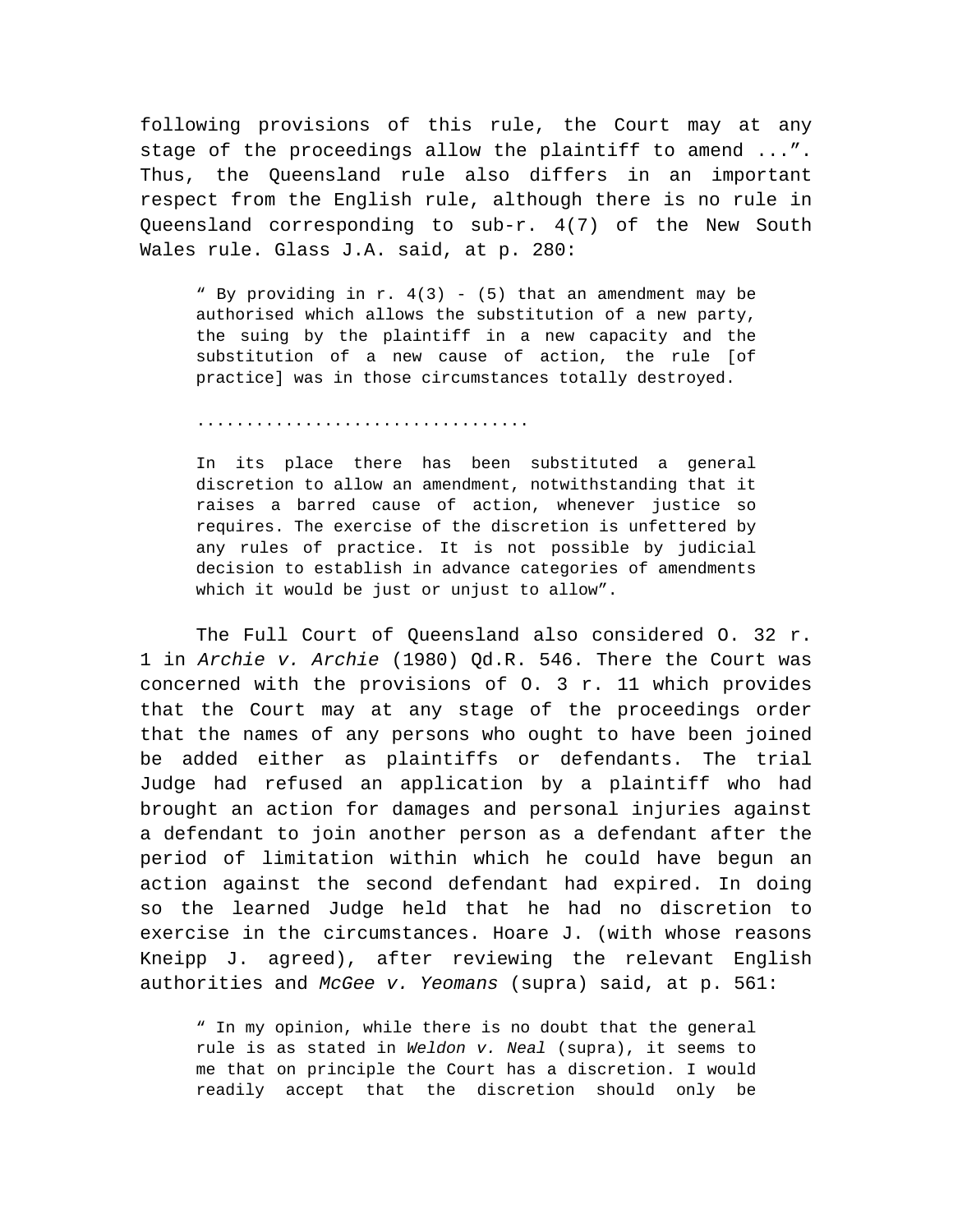following provisions of this rule, the Court may at any stage of the proceedings allow the plaintiff to amend ...". Thus, the Queensland rule also differs in an important respect from the English rule, although there is no rule in Queensland corresponding to sub-r. 4(7) of the New South Wales rule. Glass J.A. said, at p. 280:

" By providing in  $r. 4(3)$  - (5) that an amendment may be authorised which allows the substitution of a new party, the suing by the plaintiff in a new capacity and the substitution of a new cause of action, the rule [of practice] was in those circumstances totally destroyed.

..................................

In its place there has been substituted a general discretion to allow an amendment, notwithstanding that it raises a barred cause of action, whenever justice so requires. The exercise of the discretion is unfettered by any rules of practice. It is not possible by judicial decision to establish in advance categories of amendments which it would be just or unjust to allow".

The Full Court of Queensland also considered O. 32 r. 1 in *Archie v. Archie* (1980) Qd.R. 546. There the Court was concerned with the provisions of O. 3 r. 11 which provides that the Court may at any stage of the proceedings order that the names of any persons who ought to have been joined be added either as plaintiffs or defendants. The trial Judge had refused an application by a plaintiff who had brought an action for damages and personal injuries against a defendant to join another person as a defendant after the period of limitation within which he could have begun an action against the second defendant had expired. In doing so the learned Judge held that he had no discretion to exercise in the circumstances. Hoare J. (with whose reasons Kneipp J. agreed), after reviewing the relevant English authorities and *McGee v. Yeomans* (supra) said, at p. 561:

" In my opinion, while there is no doubt that the general rule is as stated in *Weldon v. Neal* (supra), it seems to me that on principle the Court has a discretion. I would readily accept that the discretion should only be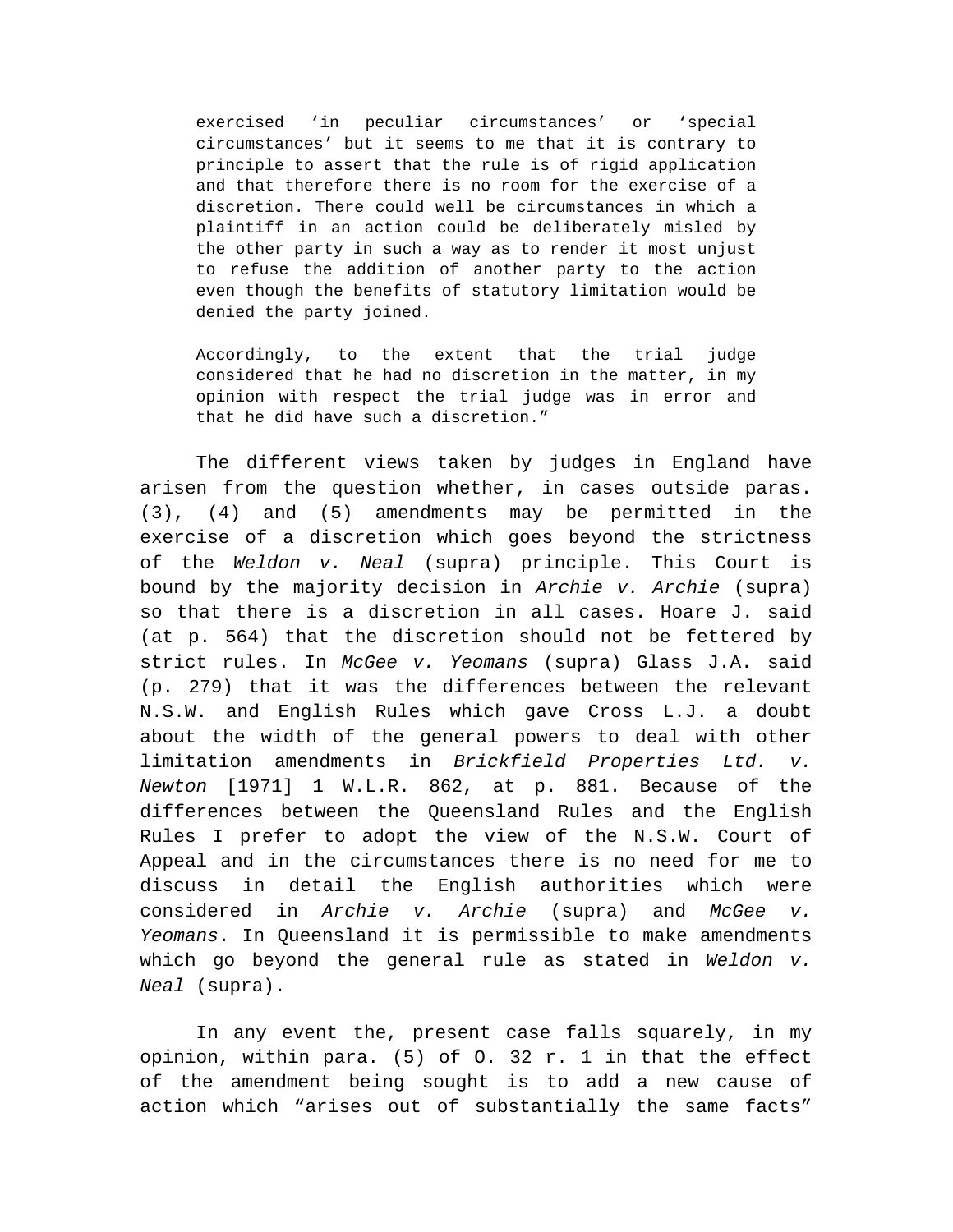exercised 'in peculiar circumstances' or 'special circumstances' but it seems to me that it is contrary to principle to assert that the rule is of rigid application and that therefore there is no room for the exercise of a discretion. There could well be circumstances in which a plaintiff in an action could be deliberately misled by the other party in such a way as to render it most unjust to refuse the addition of another party to the action even though the benefits of statutory limitation would be denied the party joined.

Accordingly, to the extent that the trial judge considered that he had no discretion in the matter, in my opinion with respect the trial judge was in error and that he did have such a discretion."

The different views taken by judges in England have arisen from the question whether, in cases outside paras. (3), (4) and (5) amendments may be permitted in the exercise of a discretion which goes beyond the strictness of the *Weldon v. Neal* (supra) principle. This Court is bound by the majority decision in *Archie v. Archie* (supra) so that there is a discretion in all cases. Hoare J. said (at p. 564) that the discretion should not be fettered by strict rules. In *McGee v. Yeomans* (supra) Glass J.A. said (p. 279) that it was the differences between the relevant N.S.W. and English Rules which gave Cross L.J. a doubt about the width of the general powers to deal with other limitation amendments in *Brickfield Properties Ltd. v. Newton* [1971] 1 W.L.R. 862, at p. 881. Because of the differences between the Queensland Rules and the English Rules I prefer to adopt the view of the N.S.W. Court of Appeal and in the circumstances there is no need for me to discuss in detail the English authorities which were considered in *Archie v. Archie* (supra) and *McGee v. Yeomans*. In Queensland it is permissible to make amendments which go beyond the general rule as stated in *Weldon v. Neal* (supra).

In any event the, present case falls squarely, in my opinion, within para. (5) of O. 32 r. 1 in that the effect of the amendment being sought is to add a new cause of action which "arises out of substantially the same facts"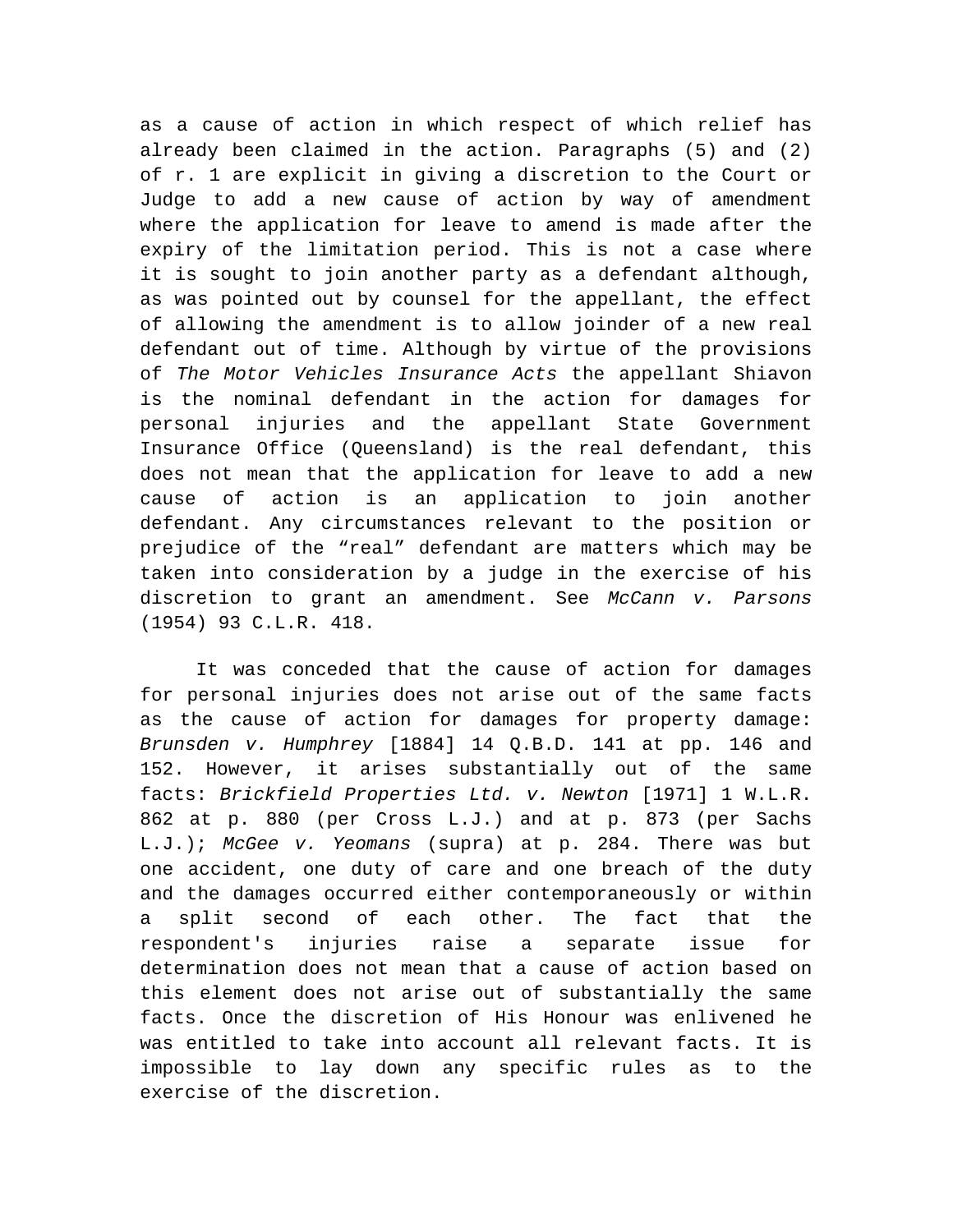as a cause of action in which respect of which relief has already been claimed in the action. Paragraphs (5) and (2) of r. 1 are explicit in giving a discretion to the Court or Judge to add a new cause of action by way of amendment where the application for leave to amend is made after the expiry of the limitation period. This is not a case where it is sought to join another party as a defendant although, as was pointed out by counsel for the appellant, the effect of allowing the amendment is to allow joinder of a new real defendant out of time. Although by virtue of the provisions of *The Motor Vehicles Insurance Acts* the appellant Shiavon is the nominal defendant in the action for damages for personal injuries and the appellant State Government Insurance Office (Queensland) is the real defendant, this does not mean that the application for leave to add a new cause of action is an application to join another defendant. Any circumstances relevant to the position or prejudice of the "real" defendant are matters which may be taken into consideration by a judge in the exercise of his discretion to grant an amendment. See *McCann v. Parsons* (1954) 93 C.L.R. 418.

It was conceded that the cause of action for damages for personal injuries does not arise out of the same facts as the cause of action for damages for property damage: *Brunsden v. Humphrey* [1884] 14 Q.B.D. 141 at pp. 146 and 152. However, it arises substantially out of the same facts: *Brickfield Properties Ltd. v. Newton* [1971] 1 W.L.R. 862 at p. 880 (per Cross L.J.) and at p. 873 (per Sachs L.J.); *McGee v. Yeomans* (supra) at p. 284. There was but one accident, one duty of care and one breach of the duty and the damages occurred either contemporaneously or within a split second of each other. The fact that the respondent's injuries raise a separate issue for determination does not mean that a cause of action based on this element does not arise out of substantially the same facts. Once the discretion of His Honour was enlivened he was entitled to take into account all relevant facts. It is impossible to lay down any specific rules as to the exercise of the discretion.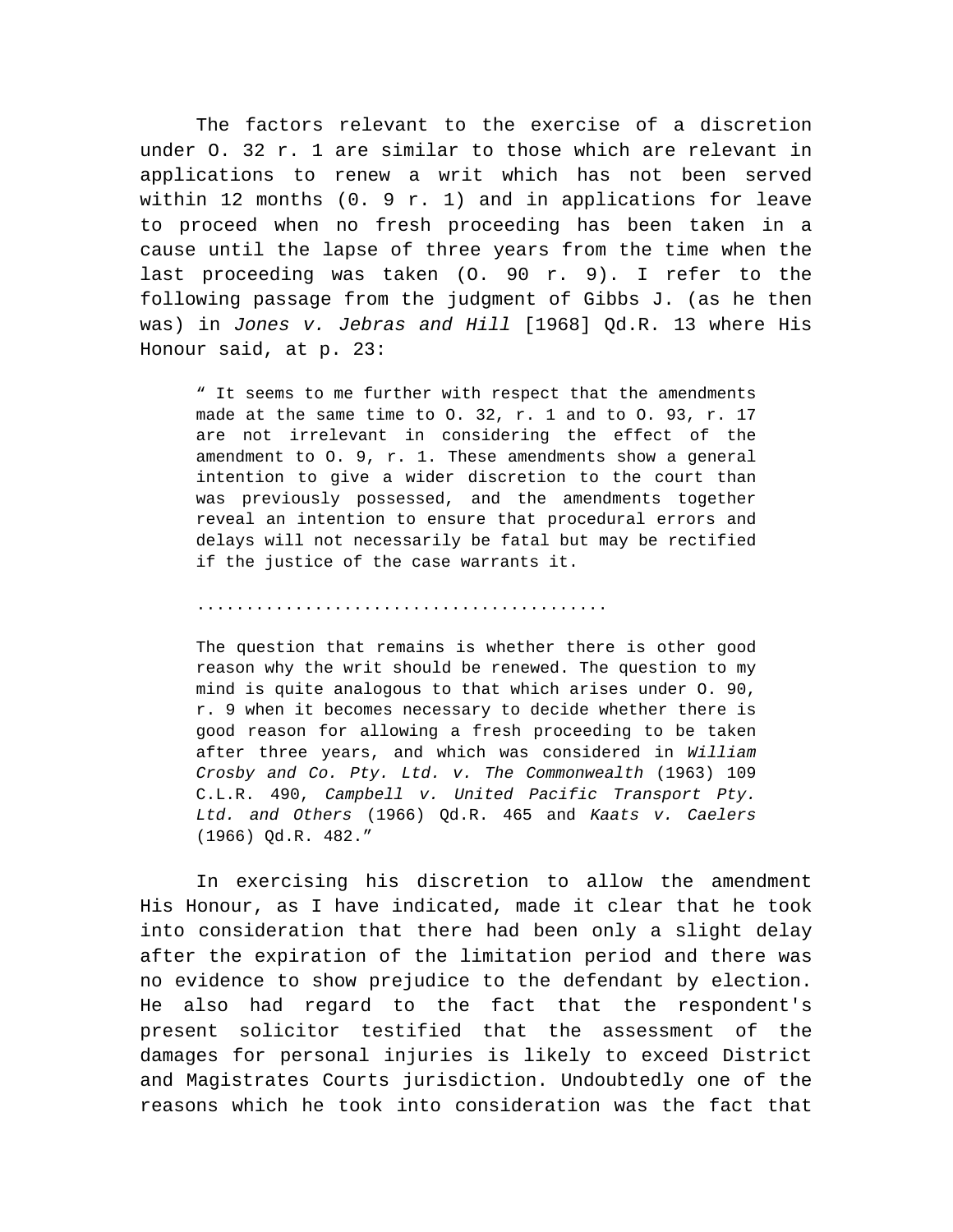The factors relevant to the exercise of a discretion under O. 32 r. 1 are similar to those which are relevant in applications to renew a writ which has not been served within 12 months  $(0. 9 r. 1)$  and in applications for leave to proceed when no fresh proceeding has been taken in a cause until the lapse of three years from the time when the last proceeding was taken (O. 90 r. 9). I refer to the following passage from the judgment of Gibbs J. (as he then was) in *Jones v. Jebras and Hill* [1968] Qd.R. 13 where His Honour said, at p. 23:

" It seems to me further with respect that the amendments made at the same time to O. 32, r. 1 and to O. 93, r. 17 are not irrelevant in considering the effect of the amendment to O. 9, r. 1. These amendments show a general intention to give a wider discretion to the court than was previously possessed, and the amendments together reveal an intention to ensure that procedural errors and delays will not necessarily be fatal but may be rectified if the justice of the case warrants it.

## ..........................................

The question that remains is whether there is other good reason why the writ should be renewed. The question to my mind is quite analogous to that which arises under O. 90, r. 9 when it becomes necessary to decide whether there is good reason for allowing a fresh proceeding to be taken after three years, and which was considered in *William Crosby and Co. Pty. Ltd. v. The Commonwealth* (1963) 109 C.L.R. 490, *Campbell v. United Pacific Transport Pty. Ltd. and Others* (1966) Qd.R. 465 and *Kaats v. Caelers* (1966) Qd.R. 482."

In exercising his discretion to allow the amendment His Honour, as I have indicated, made it clear that he took into consideration that there had been only a slight delay after the expiration of the limitation period and there was no evidence to show prejudice to the defendant by election. He also had regard to the fact that the respondent's present solicitor testified that the assessment of the damages for personal injuries is likely to exceed District and Magistrates Courts jurisdiction. Undoubtedly one of the reasons which he took into consideration was the fact that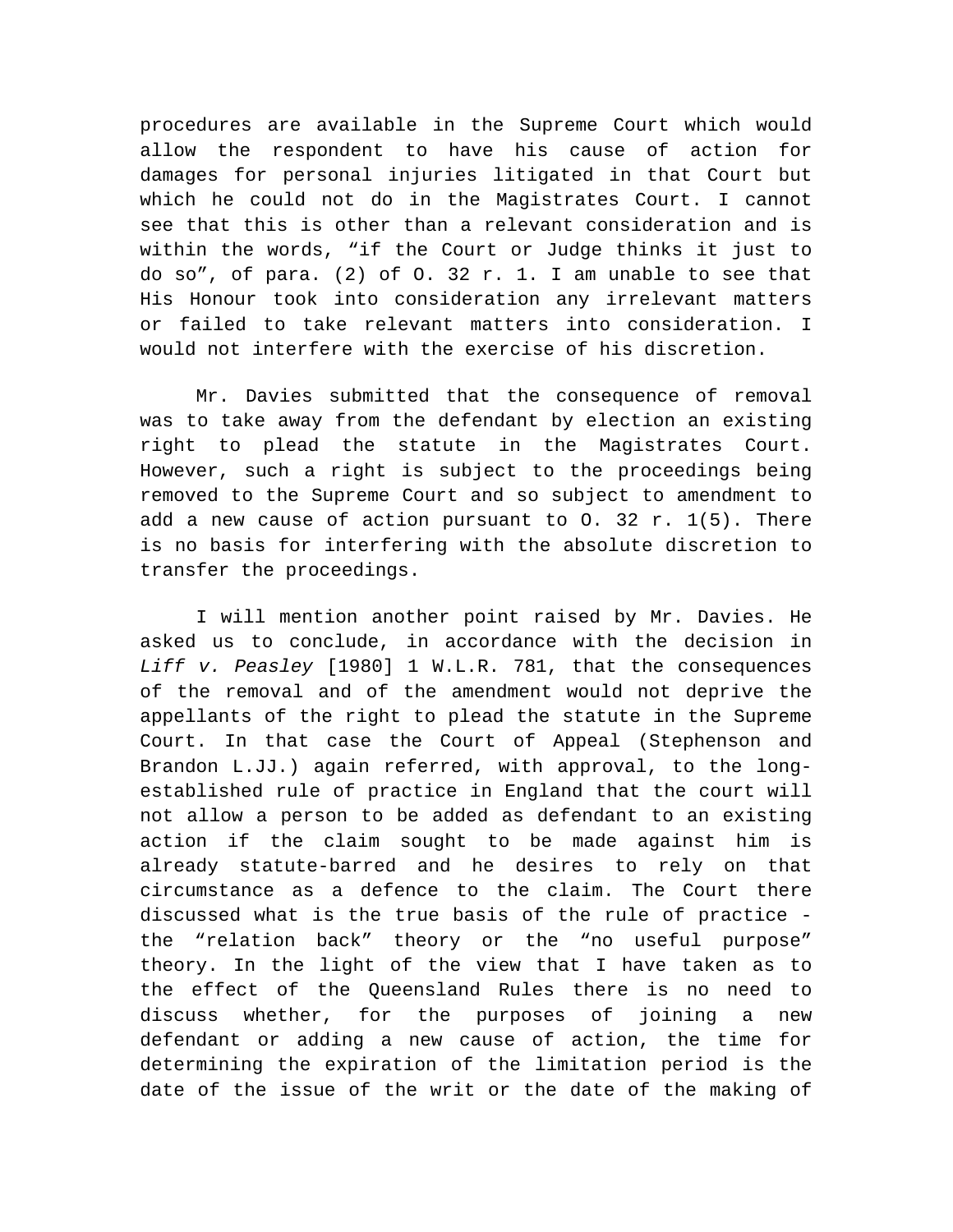procedures are available in the Supreme Court which would allow the respondent to have his cause of action for damages for personal injuries litigated in that Court but which he could not do in the Magistrates Court. I cannot see that this is other than a relevant consideration and is within the words, "if the Court or Judge thinks it just to do so", of para. (2) of O. 32 r. 1. I am unable to see that His Honour took into consideration any irrelevant matters or failed to take relevant matters into consideration. I would not interfere with the exercise of his discretion.

Mr. Davies submitted that the consequence of removal was to take away from the defendant by election an existing right to plead the statute in the Magistrates Court. However, such a right is subject to the proceedings being removed to the Supreme Court and so subject to amendment to add a new cause of action pursuant to  $0. 32$  r.  $1(5)$ . There is no basis for interfering with the absolute discretion to transfer the proceedings.

I will mention another point raised by Mr. Davies. He asked us to conclude, in accordance with the decision in *Liff v. Peasley* [1980] 1 W.L.R. 781, that the consequences of the removal and of the amendment would not deprive the appellants of the right to plead the statute in the Supreme Court. In that case the Court of Appeal (Stephenson and Brandon L.JJ.) again referred, with approval, to the longestablished rule of practice in England that the court will not allow a person to be added as defendant to an existing action if the claim sought to be made against him is already statute-barred and he desires to rely on that circumstance as a defence to the claim. The Court there discussed what is the true basis of the rule of practice the "relation back" theory or the "no useful purpose" theory. In the light of the view that I have taken as to the effect of the Queensland Rules there is no need to discuss whether, for the purposes of joining a new defendant or adding a new cause of action, the time for determining the expiration of the limitation period is the date of the issue of the writ or the date of the making of